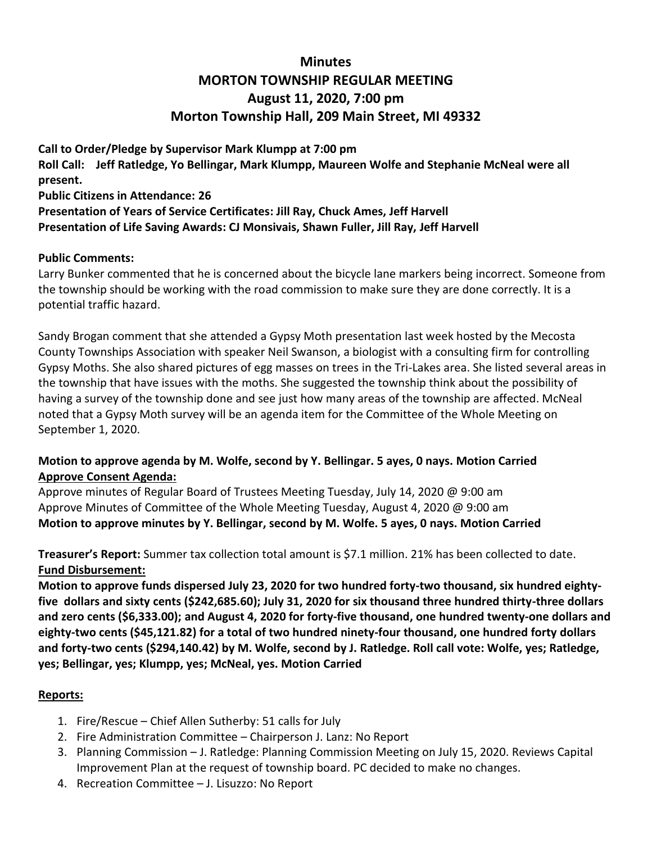# **Minutes MORTON TOWNSHIP REGULAR MEETING August 11, 2020, 7:00 pm Morton Township Hall, 209 Main Street, MI 49332**

**Call to Order/Pledge by Supervisor Mark Klumpp at 7:00 pm Roll Call: Jeff Ratledge, Yo Bellingar, Mark Klumpp, Maureen Wolfe and Stephanie McNeal were all present. Public Citizens in Attendance: 26 Presentation of Years of Service Certificates: Jill Ray, Chuck Ames, Jeff Harvell Presentation of Life Saving Awards: CJ Monsivais, Shawn Fuller, Jill Ray, Jeff Harvell**

## **Public Comments:**

Larry Bunker commented that he is concerned about the bicycle lane markers being incorrect. Someone from the township should be working with the road commission to make sure they are done correctly. It is a potential traffic hazard.

Sandy Brogan comment that she attended a Gypsy Moth presentation last week hosted by the Mecosta County Townships Association with speaker Neil Swanson, a biologist with a consulting firm for controlling Gypsy Moths. She also shared pictures of egg masses on trees in the Tri-Lakes area. She listed several areas in the township that have issues with the moths. She suggested the township think about the possibility of having a survey of the township done and see just how many areas of the township are affected. McNeal noted that a Gypsy Moth survey will be an agenda item for the Committee of the Whole Meeting on September 1, 2020.

## **Motion to approve agenda by M. Wolfe, second by Y. Bellingar. 5 ayes, 0 nays. Motion Carried Approve Consent Agenda:**

Approve minutes of Regular Board of Trustees Meeting Tuesday, July 14, 2020 @ 9:00 am Approve Minutes of Committee of the Whole Meeting Tuesday, August 4, 2020 @ 9:00 am **Motion to approve minutes by Y. Bellingar, second by M. Wolfe. 5 ayes, 0 nays. Motion Carried**

**Treasurer's Report:** Summer tax collection total amount is \$7.1 million. 21% has been collected to date. **Fund Disbursement:**

**Motion to approve funds dispersed July 23, 2020 for two hundred forty-two thousand, six hundred eightyfive dollars and sixty cents (\$242,685.60); July 31, 2020 for six thousand three hundred thirty-three dollars and zero cents (\$6,333.00); and August 4, 2020 for forty-five thousand, one hundred twenty-one dollars and eighty-two cents (\$45,121.82) for a total of two hundred ninety-four thousand, one hundred forty dollars and forty-two cents (\$294,140.42) by M. Wolfe, second by J. Ratledge. Roll call vote: Wolfe, yes; Ratledge, yes; Bellingar, yes; Klumpp, yes; McNeal, yes. Motion Carried**

#### **Reports:**

- 1. Fire/Rescue Chief Allen Sutherby: 51 calls for July
- 2. Fire Administration Committee Chairperson J. Lanz: No Report
- 3. Planning Commission J. Ratledge: Planning Commission Meeting on July 15, 2020. Reviews Capital Improvement Plan at the request of township board. PC decided to make no changes.
- 4. Recreation Committee J. Lisuzzo: No Report